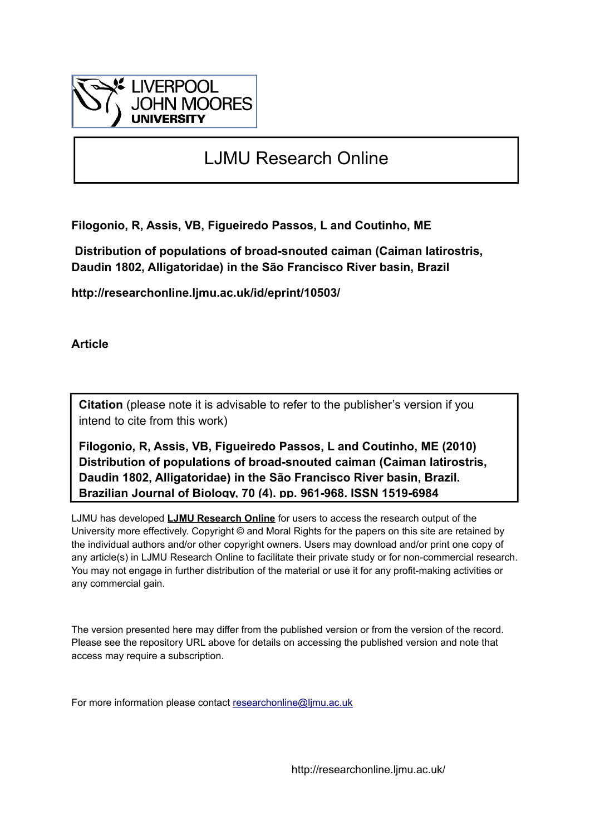

# LJMU Research Online

**Filogonio, R, Assis, VB, Figueiredo Passos, L and Coutinho, ME**

 **Distribution of populations of broad-snouted caiman (Caiman latirostris, Daudin 1802, Alligatoridae) in the São Francisco River basin, Brazil**

**http://researchonline.ljmu.ac.uk/id/eprint/10503/**

**Article**

**Citation** (please note it is advisable to refer to the publisher's version if you intend to cite from this work)

**Filogonio, R, Assis, VB, Figueiredo Passos, L and Coutinho, ME (2010) Distribution of populations of broad-snouted caiman (Caiman latirostris, Daudin 1802, Alligatoridae) in the São Francisco River basin, Brazil. Brazilian Journal of Biology, 70 (4). pp. 961-968. ISSN 1519-6984** 

LJMU has developed **[LJMU Research Online](http://researchonline.ljmu.ac.uk/)** for users to access the research output of the University more effectively. Copyright © and Moral Rights for the papers on this site are retained by the individual authors and/or other copyright owners. Users may download and/or print one copy of any article(s) in LJMU Research Online to facilitate their private study or for non-commercial research. You may not engage in further distribution of the material or use it for any profit-making activities or any commercial gain.

The version presented here may differ from the published version or from the version of the record. Please see the repository URL above for details on accessing the published version and note that access may require a subscription.

For more information please contact [researchonline@ljmu.ac.uk](mailto:researchonline@ljmu.ac.uk)

http://researchonline.ljmu.ac.uk/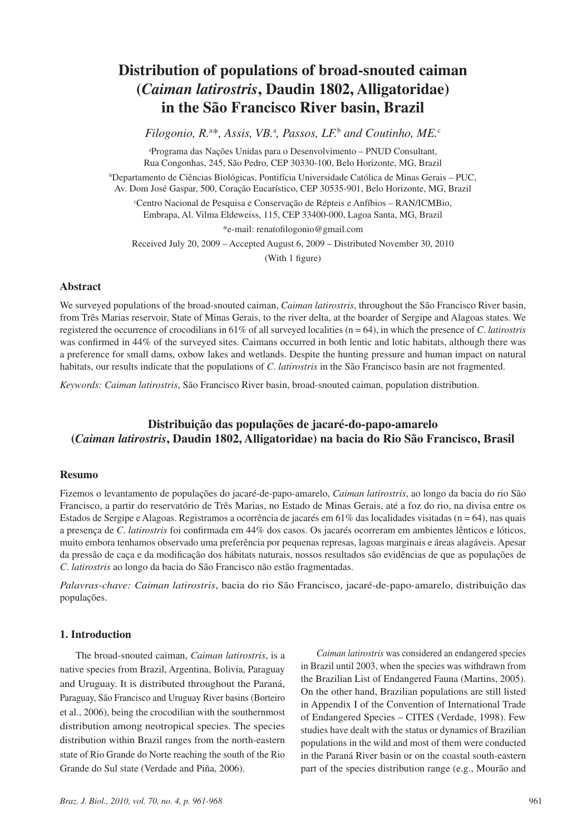## **Distribution of populations of broad-snouted caiman (***Caiman latirostris***, Daudin 1802, Alligatoridae) in the São Francisco River basin, Brazil**

*Filogonio, R.*<sup>a</sup> \**, Assis, VB.*<sup>a</sup> *, Passos, LF.*<sup>b</sup>  *and Coutinho, ME.*<sup>c</sup>

a Programa das Nações Unidas para o Desenvolvimento – PNUD Consultant, Rua Congonhas, 245, São Pedro, CEP 30330-100, Belo Horizonte, MG, Brazil

b Departamento de Ciências Biológicas, Pontifícia Universidade Católica de Minas Gerais – PUC, Av. Dom José Gaspar, 500, Coração Eucarístico, CEP 30535-901, Belo Horizonte, MG, Brazil

c Centro Nacional de Pesquisa e Conservação de Répteis e Anfíbios – RAN/ICMBio, Embrapa, Al. Vilma Eldeweiss, 115, CEP 33400-000, Lagoa Santa, MG, Brazil

\*e-mail: renatofilogonio@gmail.com

Received July 20, 2009 – Accepted August 6, 2009 – Distributed November 30, 2010

(With 1 figure)

#### **Abstract**

We surveyed populations of the broad-snouted caiman, *Caiman latirostris*, throughout the São Francisco River basin, from Três Marias reservoir, State of Minas Gerais, to the river delta, at the boarder of Sergipe and Alagoas states. We registered the occurrence of crocodilians in 61% of all surveyed localities (n = 64), in which the presence of *C*. *latirostris* was confirmed in 44% of the surveyed sites. Caimans occurred in both lentic and lotic habitats, although there was a preference for small dams, oxbow lakes and wetlands. Despite the hunting pressure and human impact on natural habitats, our results indicate that the populations of *C*. *latirostris* in the São Francisco basin are not fragmented.

*Keywords: Caiman latirostris*, São Francisco River basin, broad-snouted caiman, population distribution.

### **Distribuição das populações de jacaré-do-papo-amarelo (***Caiman latirostris***, Daudin 1802, Alligatoridae) na bacia do Rio São Francisco, Brasil**

#### **Resumo**

Fizemos o levantamento de populações do jacaré-de-papo-amarelo, *Caiman latirostris*, ao longo da bacia do rio São Francisco, a partir do reservatório de Três Marias, no Estado de Minas Gerais, até a foz do rio, na divisa entre os Estados de Sergipe e Alagoas. Registramos a ocorrência de jacarés em 61% das localidades visitadas (n = 64), nas quais a presença de *C*. *latirostris* foi confirmada em 44% dos casos. Os jacarés ocorreram em ambientes lênticos e lóticos, muito embora tenhamos observado uma preferência por pequenas represas, lagoas marginais e áreas alagáveis. Apesar da pressão de caça e da modificação dos hábitats naturais, nossos resultados são evidências de que as populações de *C*. *latirostris* ao longo da bacia do São Francisco não estão fragmentadas.

*Palavras-chave: Caiman latirostris*, bacia do rio São Francisco, jacaré-de-papo-amarelo, distribuição das populações.

#### **1. Introduction**

The broad-snouted caiman, *Caiman latirostris*, is a native species from Brazil, Argentina, Bolivia, Paraguay and Uruguay. It is distributed throughout the Paraná, Paraguay, São Francisco and Uruguay River basins (Borteiro et al., 2006), being the crocodilian with the southernmost distribution among neotropical species. The species distribution within Brazil ranges from the north-eastern state of Rio Grande do Norte reaching the south of the Rio Grande do Sul state (Verdade and Piña, 2006).

*Caiman latirostris* was considered an endangered species in Brazil until 2003, when the species was withdrawn from the Brazilian List of Endangered Fauna (Martins, 2005). On the other hand, Brazilian populations are still listed in Appendix I of the Convention of International Trade of Endangered Species – CITES (Verdade, 1998). Few studies have dealt with the status or dynamics of Brazilian populations in the wild and most of them were conducted in the Paraná River basin or on the coastal south-eastern part of the species distribution range (e.g., Mourão and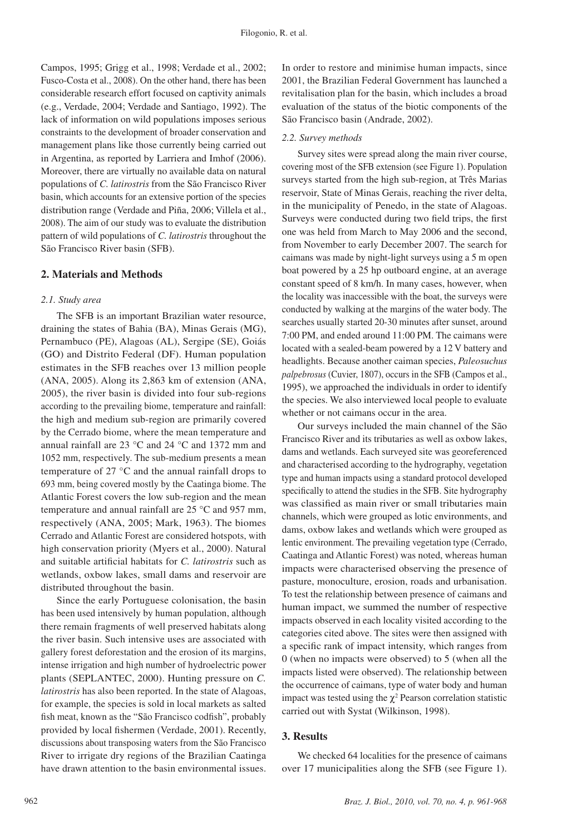Campos, 1995; Grigg et al., 1998; Verdade et al., 2002; Fusco-Costa et al., 2008). On the other hand, there has been considerable research effort focused on captivity animals (e.g., Verdade, 2004; Verdade and Santiago, 1992). The lack of information on wild populations imposes serious constraints to the development of broader conservation and management plans like those currently being carried out in Argentina, as reported by Larriera and Imhof (2006). Moreover, there are virtually no available data on natural populations of *C. latirostris* from the São Francisco River basin, which accounts for an extensive portion of the species distribution range (Verdade and Piña, 2006; Villela et al., 2008). The aim of our study was to evaluate the distribution pattern of wild populations of *C. latirostris* throughout the São Francisco River basin (SFB).

#### **2. Materials and Methods**

#### *2.1. Study area*

The SFB is an important Brazilian water resource, draining the states of Bahia (BA), Minas Gerais (MG), Pernambuco (PE), Alagoas (AL), Sergipe (SE), Goiás (GO) and Distrito Federal (DF). Human population estimates in the SFB reaches over 13 million people (ANA, 2005). Along its 2,863 km of extension (ANA, 2005), the river basin is divided into four sub-regions according to the prevailing biome, temperature and rainfall: the high and medium sub-region are primarily covered by the Cerrado biome, where the mean temperature and annual rainfall are 23 °C and 24 °C and 1372 mm and 1052 mm, respectively. The sub-medium presents a mean temperature of 27 °C and the annual rainfall drops to 693 mm, being covered mostly by the Caatinga biome. The Atlantic Forest covers the low sub-region and the mean temperature and annual rainfall are 25 °C and 957 mm, respectively (ANA, 2005; Mark, 1963). The biomes Cerrado and Atlantic Forest are considered hotspots, with high conservation priority (Myers et al., 2000). Natural and suitable artificial habitats for *C. latirostris* such as wetlands, oxbow lakes, small dams and reservoir are distributed throughout the basin.

Since the early Portuguese colonisation, the basin has been used intensively by human population, although there remain fragments of well preserved habitats along the river basin. Such intensive uses are associated with gallery forest deforestation and the erosion of its margins, intense irrigation and high number of hydroelectric power plants (SEPLANTEC, 2000). Hunting pressure on *C. latirostris* has also been reported. In the state of Alagoas, for example, the species is sold in local markets as salted fish meat, known as the "São Francisco codfish", probably provided by local fishermen (Verdade, 2001). Recently, discussions about transposing waters from the São Francisco River to irrigate dry regions of the Brazilian Caatinga have drawn attention to the basin environmental issues. In order to restore and minimise human impacts, since 2001, the Brazilian Federal Government has launched a revitalisation plan for the basin, which includes a broad evaluation of the status of the biotic components of the São Francisco basin (Andrade, 2002).

#### *2.2. Survey methods*

Survey sites were spread along the main river course, covering most of the SFB extension (see Figure 1). Population surveys started from the high sub-region, at Três Marias reservoir, State of Minas Gerais, reaching the river delta, in the municipality of Penedo, in the state of Alagoas. Surveys were conducted during two field trips, the first one was held from March to May 2006 and the second, from November to early December 2007. The search for caimans was made by night-light surveys using a 5 m open boat powered by a 25 hp outboard engine, at an average constant speed of 8 km/h. In many cases, however, when the locality was inaccessible with the boat, the surveys were conducted by walking at the margins of the water body. The searches usually started 20-30 minutes after sunset, around 7:00 PM, and ended around 11:00 PM. The caimans were located with a sealed-beam powered by a 12 V battery and headlights. Because another caiman species, *Paleosuchus palpebrosus* (Cuvier, 1807), occurs in the SFB (Campos et al., 1995), we approached the individuals in order to identify the species. We also interviewed local people to evaluate whether or not caimans occur in the area.

Our surveys included the main channel of the São Francisco River and its tributaries as well as oxbow lakes, dams and wetlands. Each surveyed site was georeferenced and characterised according to the hydrography, vegetation type and human impacts using a standard protocol developed specifically to attend the studies in the SFB. Site hydrography was classified as main river or small tributaries main channels, which were grouped as lotic environments, and dams, oxbow lakes and wetlands which were grouped as lentic environment. The prevailing vegetation type (Cerrado, Caatinga and Atlantic Forest) was noted, whereas human impacts were characterised observing the presence of pasture, monoculture, erosion, roads and urbanisation. To test the relationship between presence of caimans and human impact, we summed the number of respective impacts observed in each locality visited according to the categories cited above. The sites were then assigned with a specific rank of impact intensity, which ranges from 0 (when no impacts were observed) to 5 (when all the impacts listed were observed). The relationship between the occurrence of caimans, type of water body and human impact was tested using the  $\chi^2$  Pearson correlation statistic carried out with Systat (Wilkinson, 1998).

#### **3. Results**

We checked 64 localities for the presence of caimans over 17 municipalities along the SFB (see Figure 1).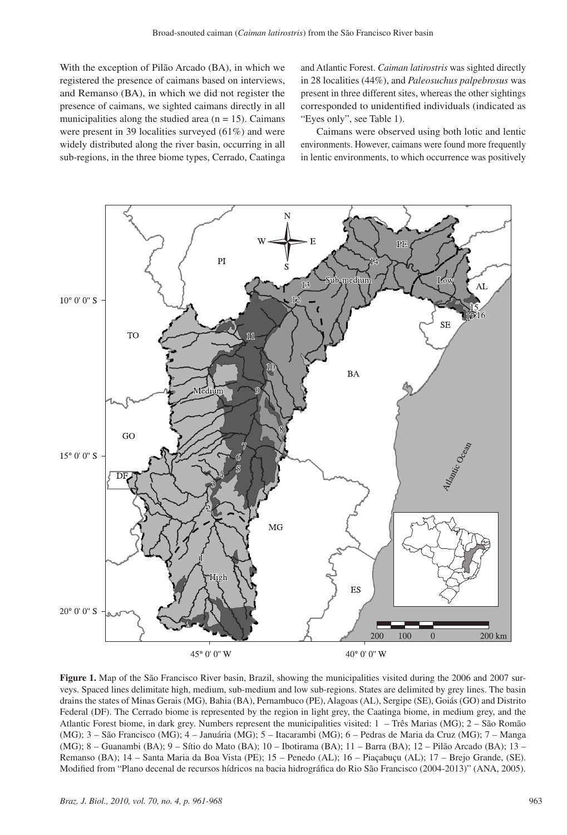With the exception of Pilão Arcado (BA), in which we registered the presence of caimans based on interviews, and Remanso (BA), in which we did not register the presence of caimans, we sighted caimans directly in all municipalities along the studied area  $(n = 15)$ . Caimans were present in 39 localities surveyed (61%) and were widely distributed along the river basin, occurring in all sub-regions, in the three biome types, Cerrado, Caatinga and Atlantic Forest. *Caiman latirostris* was sighted directly in 28 localities (44%), and *Paleosuchus palpebrosus* was present in three different sites, whereas the other sightings corresponded to unidentified individuals (indicated as "Eyes only", see Table 1).

Caimans were observed using both lotic and lentic environments. However, caimans were found more frequently in lentic environments, to which occurrence was positively



**Figure 1.** Map of the São Francisco River basin, Brazil, showing the municipalities visited during the 2006 and 2007 surveys. Spaced lines delimitate high, medium, sub-medium and low sub-regions. States are delimited by grey lines. The basin drains the states of Minas Gerais (MG), Bahia (BA), Pernambuco (PE), Alagoas (AL), Sergipe (SE), Goiás (GO) and Distrito Federal (DF). The Cerrado biome is represented by the region in light grey, the Caatinga biome, in medium grey, and the Atlantic Forest biome, in dark grey. Numbers represent the municipalities visited: 1 – Três Marias (MG); 2 – São Romão (MG); 3 – São Francisco (MG); 4 – Januária (MG); 5 – Itacarambi (MG); 6 – Pedras de Maria da Cruz (MG); 7 – Manga (MG); 8 – Guanambi (BA); 9 – Sítio do Mato (BA); 10 – Ibotirama (BA); 11 – Barra (BA); 12 – Pilão Arcado (BA); 13 – Remanso (BA); 14 – Santa Maria da Boa Vista (PE); 15 – Penedo (AL); 16 – Piaçabuçu (AL); 17 – Brejo Grande, (SE). Modified from "Plano decenal de recursos hídricos na bacia hidrográfica do Rio São Francisco (2004-2013)" (ANA, 2005).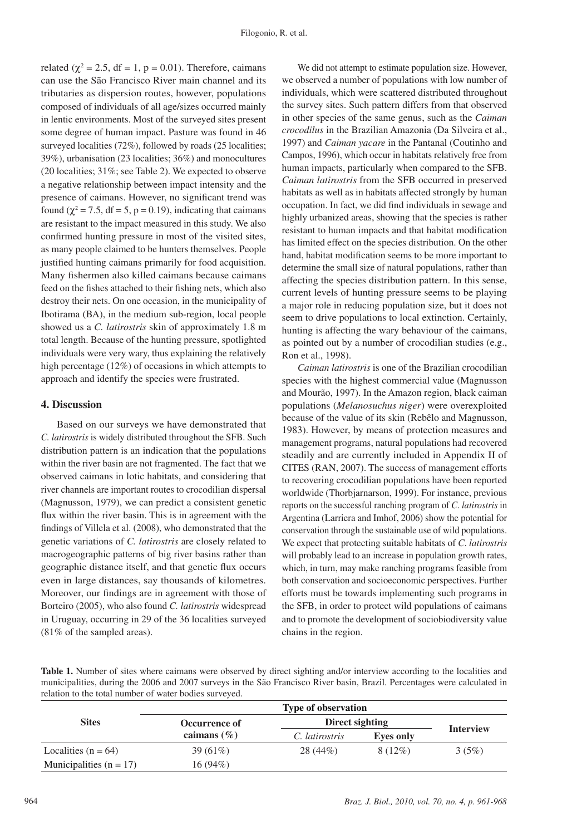related ( $\chi^2$  = 2.5, df = 1, p = 0.01). Therefore, caimans can use the São Francisco River main channel and its tributaries as dispersion routes, however, populations composed of individuals of all age/sizes occurred mainly in lentic environments. Most of the surveyed sites present some degree of human impact. Pasture was found in 46 surveyed localities (72%), followed by roads (25 localities; 39%), urbanisation (23 localities; 36%) and monocultures (20 localities; 31%; see Table 2). We expected to observe a negative relationship between impact intensity and the presence of caimans. However, no significant trend was found ( $\chi^2$  = 7.5, df = 5, p = 0.19), indicating that caimans are resistant to the impact measured in this study. We also confirmed hunting pressure in most of the visited sites, as many people claimed to be hunters themselves. People justified hunting caimans primarily for food acquisition. Many fishermen also killed caimans because caimans feed on the fishes attached to their fishing nets, which also destroy their nets. On one occasion, in the municipality of Ibotirama (BA), in the medium sub-region, local people showed us a *C. latirostris* skin of approximately 1.8 m total length. Because of the hunting pressure, spotlighted individuals were very wary, thus explaining the relatively high percentage (12%) of occasions in which attempts to approach and identify the species were frustrated.

#### **4. Discussion**

Based on our surveys we have demonstrated that *C. latirostris* is widely distributed throughout the SFB. Such distribution pattern is an indication that the populations within the river basin are not fragmented. The fact that we observed caimans in lotic habitats, and considering that river channels are important routes to crocodilian dispersal (Magnusson, 1979), we can predict a consistent genetic flux within the river basin. This is in agreement with the findings of Villela et al. (2008), who demonstrated that the genetic variations of *C. latirostris* are closely related to macrogeographic patterns of big river basins rather than geographic distance itself, and that genetic flux occurs even in large distances, say thousands of kilometres. Moreover, our findings are in agreement with those of Borteiro (2005), who also found *C. latirostris* widespread in Uruguay, occurring in 29 of the 36 localities surveyed (81% of the sampled areas).

We did not attempt to estimate population size. However, we observed a number of populations with low number of individuals, which were scattered distributed throughout the survey sites. Such pattern differs from that observed in other species of the same genus, such as the *Caiman crocodilus* in the Brazilian Amazonia (Da Silveira et al., 1997) and *Caiman yacare* in the Pantanal (Coutinho and Campos, 1996), which occur in habitats relatively free from human impacts, particularly when compared to the SFB. *Caiman latirostris* from the SFB occurred in preserved habitats as well as in habitats affected strongly by human occupation. In fact, we did find individuals in sewage and highly urbanized areas, showing that the species is rather resistant to human impacts and that habitat modification has limited effect on the species distribution. On the other hand, habitat modification seems to be more important to determine the small size of natural populations, rather than affecting the species distribution pattern. In this sense, current levels of hunting pressure seems to be playing a major role in reducing population size, but it does not seem to drive populations to local extinction. Certainly, hunting is affecting the wary behaviour of the caimans, as pointed out by a number of crocodilian studies (e.g., Ron et al., 1998).

*Caiman latirostris* is one of the Brazilian crocodilian species with the highest commercial value (Magnusson and Mourão, 1997). In the Amazon region, black caiman populations (*Melanosuchus niger*) were overexploited because of the value of its skin (Rebêlo and Magnusson, 1983). However, by means of protection measures and management programs, natural populations had recovered steadily and are currently included in Appendix II of CITES (RAN, 2007). The success of management efforts to recovering crocodilian populations have been reported worldwide (Thorbjarnarson, 1999). For instance, previous reports on the successful ranching program of *C. latirostris* in Argentina (Larriera and Imhof, 2006) show the potential for conservation through the sustainable use of wild populations. We expect that protecting suitable habitats of *C*. *latirostris*  will probably lead to an increase in population growth rates, which, in turn, may make ranching programs feasible from both conservation and socioeconomic perspectives. Further efforts must be towards implementing such programs in the SFB, in order to protect wild populations of caimans and to promote the development of sociobiodiversity value chains in the region.

**Table 1.** Number of sites where caimans were observed by direct sighting and/or interview according to the localities and municipalities, during the 2006 and 2007 surveys in the São Francisco River basin, Brazil. Percentages were calculated in relation to the total number of water bodies surveyed.

|                           | <b>Type of observation</b> |                 |                  |                  |  |  |  |
|---------------------------|----------------------------|-----------------|------------------|------------------|--|--|--|
| <b>Sites</b>              | Occurrence of              | Direct sighting |                  |                  |  |  |  |
|                           | caimans $(\% )$            | C. latirostris  | <b>Eves only</b> | <b>Interview</b> |  |  |  |
| Localities ( $n = 64$ )   | $39(61\%)$                 | $28(44\%)$      | $8(12\%)$        | 3(5%)            |  |  |  |
| Municipalities $(n = 17)$ | 16 (94%)                   |                 |                  |                  |  |  |  |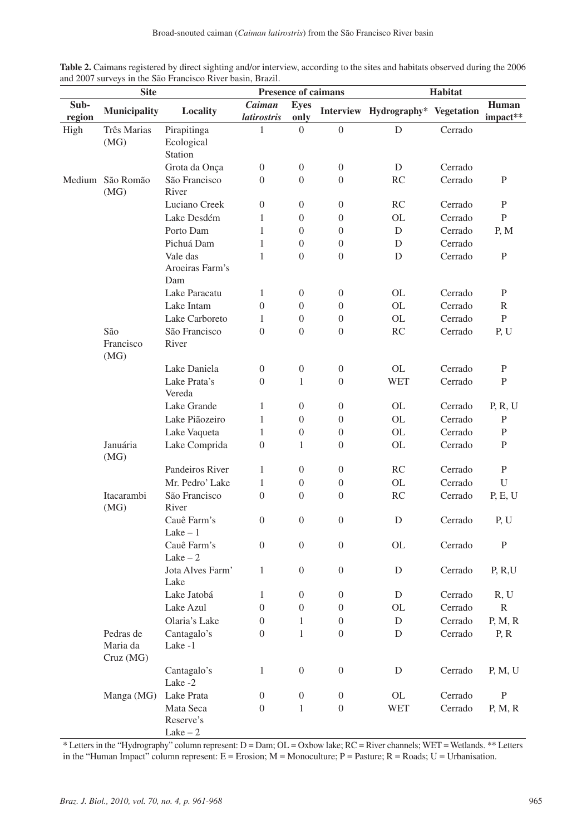| <b>Table 2.</b> Caimans registered by direct sighting and/or interview, according to the sites and habitats observed during the 2006 |  |  |  |  |  |
|--------------------------------------------------------------------------------------------------------------------------------------|--|--|--|--|--|
| and 2007 surveys in the São Francisco River basin, Brazil.                                                                           |  |  |  |  |  |

|                | <b>Site</b>                       |                                    |                              |                                      | Presence of caimans                  | Habitat                                  |         |                   |  |
|----------------|-----------------------------------|------------------------------------|------------------------------|--------------------------------------|--------------------------------------|------------------------------------------|---------|-------------------|--|
| Sub-<br>region | <b>Municipality</b>               | Locality                           | Caiman<br><i>latirostris</i> | <b>Eyes</b><br>only                  |                                      | Interview Hydrography* Vegetation        |         | Human<br>impact** |  |
| High           | Três Marias                       | Pirapitinga                        | 1                            | $\overline{0}$                       | $\boldsymbol{0}$                     | $\mathbf D$                              | Cerrado |                   |  |
|                | (MG)                              | Ecological<br><b>Station</b>       |                              |                                      |                                      |                                          |         |                   |  |
|                |                                   | Grota da Onça                      | $\mathbf{0}$                 | $\overline{0}$                       | 0                                    | D                                        | Cerrado |                   |  |
|                | Medium São Romão                  | São Francisco                      | $\boldsymbol{0}$             | $\theta$                             | $\overline{0}$                       | RC                                       | Cerrado | P                 |  |
|                | (MG)                              | River                              |                              |                                      |                                      |                                          |         |                   |  |
|                |                                   | Luciano Creek                      | $\boldsymbol{0}$             | $\boldsymbol{0}$                     | $\boldsymbol{0}$                     | RC                                       | Cerrado | P                 |  |
|                |                                   | Lake Desdém                        | 1                            | $\theta$                             | $\overline{0}$                       | OL                                       | Cerrado | $\mathbf{P}$      |  |
|                |                                   | Porto Dam                          | 1                            | $\theta$                             | $\overline{0}$                       | D                                        | Cerrado | P, M              |  |
|                |                                   | Pichuá Dam                         | 1                            | $\boldsymbol{0}$                     | $\boldsymbol{0}$                     | D                                        | Cerrado |                   |  |
|                |                                   | Vale das<br>Aroeiras Farm's<br>Dam | 1                            | $\theta$                             | $\overline{0}$                       | D                                        | Cerrado | $\mathbf{P}$      |  |
|                |                                   | Lake Paracatu                      | $\mathbf{1}$                 | $\overline{0}$                       | 0                                    | <b>OL</b>                                | Cerrado | P                 |  |
|                |                                   | Lake Intam                         | $\boldsymbol{0}$             | $\boldsymbol{0}$                     | $\overline{0}$                       | <b>OL</b>                                | Cerrado | R                 |  |
|                |                                   | Lake Carboreto                     | 1                            | $\boldsymbol{0}$                     | $\boldsymbol{0}$                     | OL                                       | Cerrado | $\, {\bf P}$      |  |
|                | São                               | São Francisco                      | $\boldsymbol{0}$             | $\theta$                             | $\overline{0}$                       | RC                                       | Cerrado | P, U              |  |
|                | Francisco<br>(MG)                 | River                              |                              |                                      |                                      |                                          |         |                   |  |
|                |                                   | Lake Daniela                       | $\boldsymbol{0}$             | $\overline{0}$                       | $\overline{0}$                       | OL                                       | Cerrado | P                 |  |
|                |                                   | Lake Prata's<br>Vereda             | $\boldsymbol{0}$             | 1                                    | $\overline{0}$                       | <b>WET</b>                               | Cerrado | P                 |  |
|                |                                   | Lake Grande                        | 1                            | $\theta$                             | $\boldsymbol{0}$                     | <b>OL</b>                                | Cerrado | P, R, U           |  |
|                |                                   | Lake Piãozeiro                     | 1                            | $\boldsymbol{0}$                     | $\overline{0}$                       | OL                                       | Cerrado | P                 |  |
|                |                                   | Lake Vaqueta                       | $\mathbf{1}$                 | $\boldsymbol{0}$                     | $\boldsymbol{0}$                     | OL                                       | Cerrado | $\mathbf{P}$      |  |
|                | Januária<br>(MG)                  | Lake Comprida                      | $\boldsymbol{0}$             | 1                                    | $\boldsymbol{0}$                     | OL                                       | Cerrado | $\mathbf{P}$      |  |
|                |                                   | Pandeiros River                    | $\mathbf{1}$                 | 0                                    | $\boldsymbol{0}$                     | RC                                       | Cerrado | P                 |  |
|                |                                   | Mr. Pedro' Lake                    | 1                            | $\boldsymbol{0}$                     | $\boldsymbol{0}$                     | <b>OL</b>                                | Cerrado | U                 |  |
|                | Itacarambi<br>(MG)                | São Francisco<br>River             | $\boldsymbol{0}$             | $\theta$                             | $\overline{0}$                       | RC                                       | Cerrado | P, E, U           |  |
|                |                                   | Cauê Farm's<br>Lake $-1$           | $\overline{0}$               | $\overline{0}$                       | $\overline{0}$                       | D                                        | Cerrado | P, U              |  |
|                |                                   | Cauê Farm's<br>Lake $-2$           | $\boldsymbol{0}$             | $\overline{0}$                       | $\overline{0}$                       | <b>OL</b>                                | Cerrado | P                 |  |
|                |                                   | Jota Alves Farm'                   | $\mathbf{1}$                 | $\overline{0}$                       | $\overline{0}$                       | D                                        | Cerrado | P, R, U           |  |
|                |                                   | Lake                               |                              |                                      |                                      |                                          |         |                   |  |
|                |                                   | Lake Jatobá<br>Lake Azul           | 1<br>$\boldsymbol{0}$        | $\boldsymbol{0}$<br>$\boldsymbol{0}$ | $\boldsymbol{0}$<br>$\boldsymbol{0}$ | $\mathbf D$                              | Cerrado | R, U              |  |
|                |                                   |                                    |                              |                                      |                                      | $\mathcal{O}\mathcal{L}$                 | Cerrado | R                 |  |
|                |                                   | Olaria's Lake                      | $\boldsymbol{0}$             | 1                                    | $\boldsymbol{0}$                     | D                                        | Cerrado | P, M, R           |  |
|                | Pedras de<br>Maria da<br>Cruz(MG) | Cantagalo's<br>Lake -1             | $\boldsymbol{0}$             | 1                                    | $\boldsymbol{0}$                     | D                                        | Cerrado | P, R              |  |
|                |                                   | Cantagalo's<br>Lake -2             | $\mathbf{1}$                 | $\boldsymbol{0}$                     | $\boldsymbol{0}$                     | D                                        | Cerrado | P, M, U           |  |
|                | Manga (MG)                        | Lake Prata                         | $\boldsymbol{0}$             | $\boldsymbol{0}$                     | $\boldsymbol{0}$                     | $\mathrm{OL}% \left( \mathcal{M}\right)$ | Cerrado | $\mathbf P$       |  |
|                |                                   | Mata Seca                          | $\boldsymbol{0}$             | $\mathbf{1}$                         | $\boldsymbol{0}$                     | <b>WET</b>                               | Cerrado | P, M, R           |  |
|                |                                   | Reserve's<br>$\text{Take} - 2$     |                              |                                      |                                      |                                          |         |                   |  |

\* Letters in the "Hydrography" column represent:  $D =$  Dam;  $OL =$  Oxbow lake;  $RC =$  River channels; WET = Wetlands. \*\* Letters in the "Human Impact" column represent:  $E = E$ rosion; M = Monoculture; P = Pasture; R = Roads; U = Urbanisation.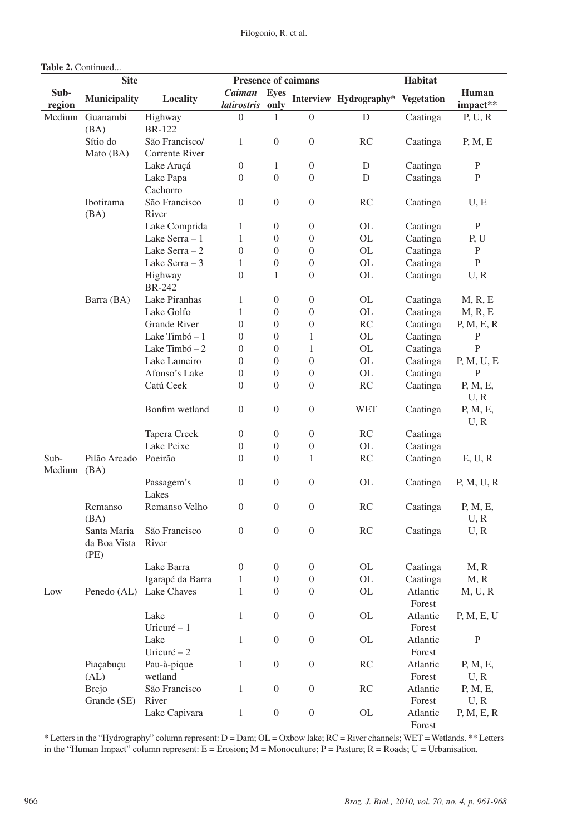| <b>Site</b><br>Presence of caimans                                                            | Habitat                                                   |
|-----------------------------------------------------------------------------------------------|-----------------------------------------------------------|
| Sub-<br>Caiman<br><b>Eyes</b><br>Municipality<br>Locality                                     | Human<br>Interview Hydrography* Vegetation                |
| latirostris<br>region<br>only                                                                 | impact**                                                  |
| $\overline{0}$<br>Medium Guanambi<br>Highway<br>$\boldsymbol{0}$<br>1                         | $\mathbf D$<br>Caatinga<br>P, U, R                        |
| <b>BR-122</b><br>(BA)                                                                         |                                                           |
| Sítio do<br>São Francisco/<br>$\mathbf{1}$<br>$\overline{0}$<br>$\boldsymbol{0}$              | RC<br>Caatinga<br>P, M, E                                 |
| Mato (BA)<br>Corrente River                                                                   |                                                           |
| Lake Araçá<br>$\boldsymbol{0}$<br>$\mathbf{1}$<br>$\boldsymbol{0}$                            | Caatinga<br>$\mathbf{P}$<br>D                             |
| Lake Papa<br>$\overline{0}$<br>$\theta$<br>$\overline{0}$<br>Cachorro                         | D<br>Caatinga<br>$\mathbf{P}$                             |
| Ibotirama<br>São Francisco<br>$\boldsymbol{0}$<br>$\boldsymbol{0}$<br>$\theta$                | RC<br>Caatinga<br>U, E                                    |
| (BA)<br>River                                                                                 |                                                           |
| Lake Comprida<br>$\boldsymbol{0}$<br>1<br>0                                                   | OL<br>P<br>Caatinga                                       |
| Lake Serra - 1<br>$\mathbf{1}$<br>$\boldsymbol{0}$<br>$\boldsymbol{0}$                        | OL<br>Caatinga<br>P, U                                    |
| Lake Serra $-2$<br>$\boldsymbol{0}$<br>$\theta$<br>0                                          | OL<br>Caatinga<br>$\mathbf P$                             |
| Lake Serra $-3$<br>$\mathbf{1}$<br>$\boldsymbol{0}$<br>$\boldsymbol{0}$                       | Caatinga<br>${\bf P}$<br>OL                               |
| $\boldsymbol{0}$<br>$\theta$<br>Highway<br>1                                                  | OL<br>Caatinga<br>U, R                                    |
| <b>BR-242</b>                                                                                 |                                                           |
| Lake Piranhas<br>$\boldsymbol{0}$<br>Barra (BA)<br>1<br>0                                     | OL<br>Caatinga<br>M, R, E                                 |
| Lake Golfo<br>$\mathbf{1}$<br>$\boldsymbol{0}$<br>$\boldsymbol{0}$                            | OL<br>Caatinga<br>M, R, E                                 |
| <b>Grande River</b><br>$\overline{0}$<br>$\boldsymbol{0}$<br>0                                | RC<br>Caatinga<br>P, M, E, R                              |
| Lake Timbó - 1<br>0<br>0<br>1                                                                 | OL<br>Caatinga<br>P                                       |
| Lake Timbó $-2$<br>$\boldsymbol{0}$<br>$\overline{0}$<br>1                                    | OL<br>Caatinga<br>P                                       |
| Lake Lameiro<br>$\boldsymbol{0}$<br>$\overline{0}$<br>0                                       | OL<br>Caatinga<br>P, M, U, E                              |
| Afonso's Lake<br>$\boldsymbol{0}$<br>$\boldsymbol{0}$<br>$\boldsymbol{0}$                     | OL<br>Caatinga<br>P                                       |
| Catú Ceek<br>$\overline{0}$<br>0<br>0                                                         | RC<br>Caatinga<br>P, M, E,                                |
|                                                                                               | U, R                                                      |
| Bonfim wetland<br>$\boldsymbol{0}$<br>$\mathbf{0}$<br>$\overline{0}$                          | <b>WET</b><br>Caatinga<br>P, M, E,                        |
|                                                                                               | U, R                                                      |
| Tapera Creek<br>$\boldsymbol{0}$<br>$\boldsymbol{0}$<br>0                                     | RC<br>Caatinga                                            |
| Lake Peixe<br>$\boldsymbol{0}$<br>$\boldsymbol{0}$<br>0                                       | OL<br>Caatinga                                            |
| Pilão Arcado Poeirão<br>$\boldsymbol{0}$<br>1<br>Sub-<br>0<br>Medium (BA)                     | RC<br>Caatinga<br>E, U, R                                 |
| Passagem's<br>$\boldsymbol{0}$<br>$\boldsymbol{0}$<br>$\boldsymbol{0}$                        | OL<br>Caatinga<br>P, M, U, R                              |
| Lakes                                                                                         |                                                           |
| Remanso Velho<br>$\boldsymbol{0}$<br>$\boldsymbol{0}$<br>$\overline{0}$<br>Remanso            | RC<br>Caatinga<br>P, M, E,                                |
| (BA)                                                                                          | U, R                                                      |
| $\boldsymbol{0}$<br>$\overline{0}$<br>Santa Maria<br>São Francisco<br>$\boldsymbol{0}$        | <b>RC</b><br>Caatinga<br>U, R                             |
| River<br>da Boa Vista                                                                         |                                                           |
| (PE)                                                                                          |                                                           |
| $\boldsymbol{0}$<br>$\boldsymbol{0}$<br>$\boldsymbol{0}$<br>Lake Barra                        | <b>OL</b><br>Caatinga<br>M, R                             |
| Igarapé da Barra<br>$\boldsymbol{0}$<br>$\boldsymbol{0}$<br>$\mathbf{1}$                      | Caatinga<br>$\mathrm{OL}$<br>M, R                         |
| $\mathbf{1}$<br>Penedo (AL) Lake Chaves<br>$\boldsymbol{0}$<br>$\mathbf{0}$<br>Low            | $\mathrm{OL}$<br>Atlantic<br>M, U, R                      |
|                                                                                               | Forest                                                    |
| Lake<br>$\mathbf{1}$<br>$\boldsymbol{0}$<br>$\boldsymbol{0}$                                  | $\mathrm{OL}$<br>Atlantic<br>P, M, E, U                   |
| Uricuré - 1                                                                                   | Forest                                                    |
| Lake<br>$\mathbf{1}$<br>$\boldsymbol{0}$<br>$\boldsymbol{0}$                                  | $\mathrm{OL}$<br>Atlantic<br>$\mathbf P$                  |
| Uricuré - 2                                                                                   | Forest                                                    |
| Piaçabuçu<br>Pau-à-pique<br>$\boldsymbol{0}$<br>$\mathbf{1}$<br>$\overline{0}$                | RC<br>Atlantic<br>P, M, E,                                |
| wetland<br>(AL)                                                                               | Forest<br>U, R                                            |
| São Francisco<br>$\mathbf{1}$<br>$\boldsymbol{0}$<br>$\mathbf{0}$<br><b>Brejo</b>             | RC<br>Atlantic<br>P, M, E,                                |
| Grande (SE)<br>River<br>Lake Capivara<br>$\boldsymbol{0}$<br>$\mathbf{1}$<br>$\boldsymbol{0}$ | Forest<br>U, R<br>$\mathrm{OL}$<br>Atlantic<br>P, M, E, R |
|                                                                                               | Forest                                                    |

\* Letters in the "Hydrography" column represent: D = Dam; OL = Oxbow lake; RC = River channels; WET = Wetlands. \*\* Letters in the "Human Impact" column represent:  $E = E$ rosion; M = Monoculture; P = Pasture; R = Roads; U = Urbanisation.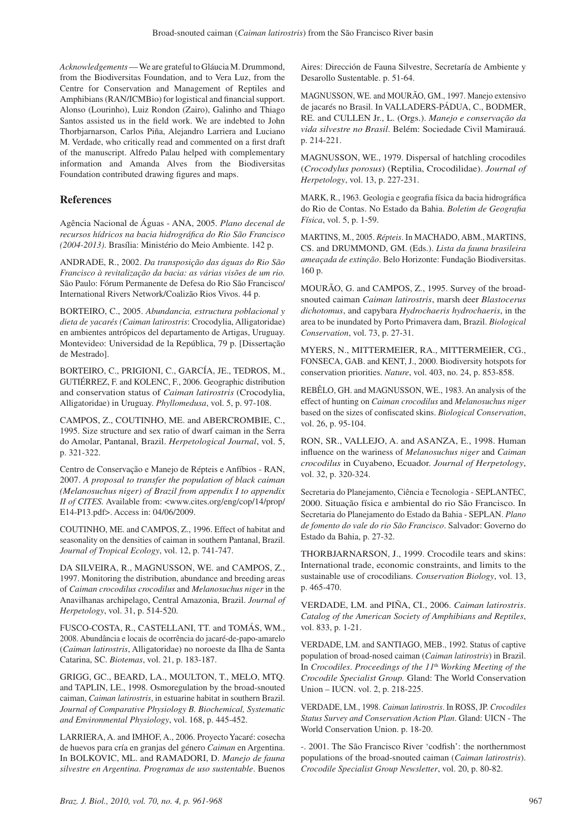*Acknowledgements* — We are grateful to Gláucia M. Drummond, from the Biodiversitas Foundation, and to Vera Luz, from the Centre for Conservation and Management of Reptiles and Amphibians (RAN/ICMBio) for logistical and financial support. Alonso (Lourinho), Luiz Rondon (Zairo), Galinho and Thiago Santos assisted us in the field work. We are indebted to John Thorbjarnarson, Carlos Piña, Alejandro Larriera and Luciano M. Verdade, who critically read and commented on a first draft of the manuscript. Alfredo Palau helped with complementary information and Amanda Alves from the Biodiversitas Foundation contributed drawing figures and maps.

#### **References**

Agência Nacional de Águas - ANA, 2005. *Plano decenal de recursos hídricos na bacia hidrográfica do Rio São Francisco (2004-2013)*. Brasília: Ministério do Meio Ambiente. 142 p.

ANDRADE, R., 2002. *Da transposição das águas do Rio São Francisco à revitalização da bacia: as várias visões de um rio.* São Paulo: Fórum Permanente de Defesa do Rio São Francisco/ International Rivers Network/Coalizão Rios Vivos. 44 p.

BORTEIRO, C., 2005. *Abundancia, estructura poblacional y dieta de yacarés (Caiman latirostris*: Crocodylia, Alligatoridae) en ambientes antrópicos del departamento de Artigas, Uruguay. Montevideo: Universidad de la República, 79 p. [Dissertação de Mestrado].

BORTEIRO, C., PRIGIONI, C., GARCÍA, JE., TEDROS, M., GUTIÉRREZ, F. and KOLENC, F., 2006. Geographic distribution and conservation status of *Caiman latirostris* (Crocodylia, Alligatoridae) in Uruguay. *Phyllomedusa*, vol. 5, p. 97-108.

CAMPOS, Z., COUTINHO, ME. and ABERCROMBIE, C., 1995. Size structure and sex ratio of dwarf caiman in the Serra do Amolar, Pantanal, Brazil. *Herpetological Journal*, vol. 5, p. 321-322.

Centro de Conservação e Manejo de Répteis e Anfíbios - RAN, 2007. *A proposal to transfer the population of black caiman (Melanosuchus niger) of Brazil from appendix I to appendix II of CITES.* Available from: <www.cites.org/eng/cop/14/prop/ E14-P13.pdf>. Access in: 04/06/2009.

COUTINHO, ME. and CAMPOS, Z., 1996. Effect of habitat and seasonality on the densities of caiman in southern Pantanal, Brazil. *Journal of Tropical Ecology*, vol. 12, p. 741-747.

DA SILVEIRA, R., MAGNUSSON, WE. and CAMPOS, Z., 1997. Monitoring the distribution, abundance and breeding areas of *Caiman crocodilus crocodilus* and *Melanosuchus niger* in the Anavilhanas archipelago, Central Amazonia, Brazil. *Journal of Herpetology*, vol. 31, p. 514-520.

FUSCO-COSTA, R., CASTELLANI, TT. and TOMÁS, WM., 2008. Abundância e locais de ocorrência do jacaré-de-papo-amarelo (*Caiman latirostris*, Alligatoridae) no noroeste da Ilha de Santa Catarina, SC. *Biotemas*, vol. 21, p. 183-187.

GRIGG, GC., BEARD, LA., MOULTON, T., MELO, MTQ. and TAPLIN, LE., 1998. Osmoregulation by the broad-snouted caiman, *Caiman latirostris*, in estuarine habitat in southern Brazil. *Journal of Comparative Physiology B. Biochemical, Systematic and Environmental Physiology*, vol. 168, p. 445-452.

LARRIERA, A. and IMHOF, A., 2006. Proyecto Yacaré: cosecha de huevos para cría en granjas del género *Caiman* en Argentina. In BOLKOVIC, ML. and RAMADORI, D. *Manejo de fauna silvestre en Argentina. Programas de uso sustentable*. Buenos

Aires: Dirección de Fauna Silvestre, Secretaría de Ambiente y Desarollo Sustentable. p. 51-64.

MAGNUSSON, WE. and MOURÃO, GM., 1997. Manejo extensivo de jacarés no Brasil. In VALLADERS-PÁDUA, C., BODMER, RE. and CULLEN Jr., L. (Orgs.). *Manejo e conservação da vida silvestre no Brasil*. Belém: Sociedade Civil Mamirauá. p. 214-221.

MAGNUSSON, WE., 1979. Dispersal of hatchling crocodiles (*Crocodylus porosus*) (Reptilia, Crocodilidae). *Journal of Herpetology*, vol. 13, p. 227-231.

MARK, R., 1963. Geologia e geografia física da bacia hidrográfica do Rio de Contas. No Estado da Bahia. *Boletim de Geografia Física*, vol. 5, p. 1-59.

MARTINS, M., 2005. *Répteis*. In MACHADO, ABM., MARTINS, CS. and DRUMMOND, GM. (Eds.). *Lista da fauna brasileira ameaçada de extinção*. Belo Horizonte: Fundação Biodiversitas. 160 p.

MOURÃO, G. and CAMPOS, Z., 1995. Survey of the broadsnouted caiman *Caiman latirostris*, marsh deer *Blastocerus dichotomus*, and capybara *Hydrochaeris hydrochaeris*, in the area to be inundated by Porto Primavera dam, Brazil. *Biological Conservation*, vol. 73, p. 27-31.

MYERS, N., MITTERMEIER, RA., MITTERMEIER, CG., FONSECA, GAB. and KENT, J., 2000. Biodiversity hotspots for conservation priorities. *Nature*, vol. 403, no. 24, p. 853-858.

REBÊLO, GH. and MAGNUSSON, WE., 1983. An analysis of the effect of hunting on *Caiman crocodilus* and *Melanosuchus niger*  based on the sizes of confiscated skins. *Biological Conservation*, vol. 26, p. 95-104.

RON, SR., VALLEJO, A. and ASANZA, E., 1998. Human influence on the wariness of *Melanosuchus niger* and *Caiman crocodilus* in Cuyabeno, Ecuador. *Journal of Herpetology*, vol. 32, p. 320-324.

Secretaria do Planejamento, Ciência e Tecnologia - SEPLANTEC, 2000. Situação física e ambiental do rio São Francisco. In Secretaria do Planejamento do Estado da Bahia - SEPLAN. *Plano de fomento do vale do rio São Francisco*. Salvador: Governo do Estado da Bahia, p. 27-32.

THORBJARNARSON, J., 1999. Crocodile tears and skins: International trade, economic constraints, and limits to the sustainable use of crocodilians. *Conservation Biology*, vol. 13, p. 465-470.

VERDADE, LM. and PIÑA, CI., 2006. *Caiman latirostris*. *Catalog of the American Society of Amphibians and Reptiles*, vol. 833, p. 1-21.

VERDADE, LM. and SANTIAGO, MEB., 1992. Status of captive population of broad-nosed caiman (*Caiman latirostris*) in Brazil. In *Crocodiles*. *Proceedings of the 11*th *Working Meeting of the Crocodile Specialist Group.* Gland: The World Conservation Union – IUCN. vol. 2, p. 218-225.

VERDADE, LM., 1998. *Caiman latirostris*. In ROSS, JP. *Crocodiles Status Survey and Conservation Action Plan*. Gland: UICN - The World Conservation Union. p. 18-20.

-. 2001. The São Francisco River 'codfish': the northernmost populations of the broad-snouted caiman (*Caiman latirostris*). *Crocodile Specialist Group Newsletter*, vol. 20, p. 80-82.